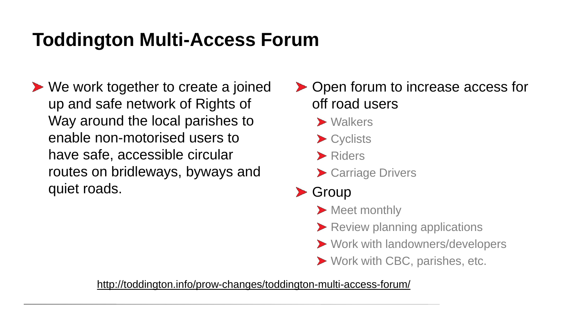### **Toddington Multi-Access Forum**

- ▶ We work together to create a joined up and safe network of Rights of Way around the local parishes to enable non-motorised users to have safe, accessible circular routes on bridleways, byways and quiet roads.
- ▶ Open forum to increase access for off road users
	- **> Walkers**
	- ▶ Cyclists
	- **> Riders**
	- ▶ Carriage Drivers

#### ▶ Group

- Meet monthly
- **Review planning applications**
- ▶ Work with landowners/developers
- ▶ Work with CBC, parishes, etc.

<http://toddington.info/prow-changes/toddington-multi-access-forum/>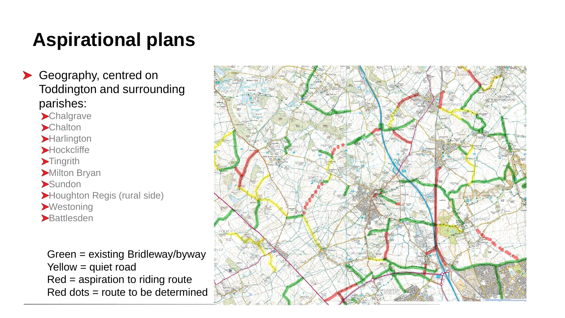# **Aspirational plans**

- Geography, centred on Toddington and surrounding parishes:
	- **>Chalgrave Example 2 >Harlington >Hockcliffe >Tingrith** Milton Bryan Sundon Houghton Regis (rural side) **>Westoning**
	- **>Battlesden**

Green = existing Bridleway/byway Yellow = quiet road Red = aspiration to riding route Red dots = route to be determined

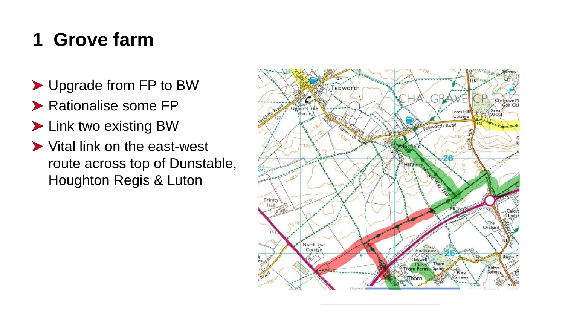## **1 Grove farm**

- ▶ Upgrade from FP to BW
- ▶ Rationalise some FP
- **Link two existing BW**
- ▶ Vital link on the east-west route across top of Dunstable, Houghton Regis & Luton

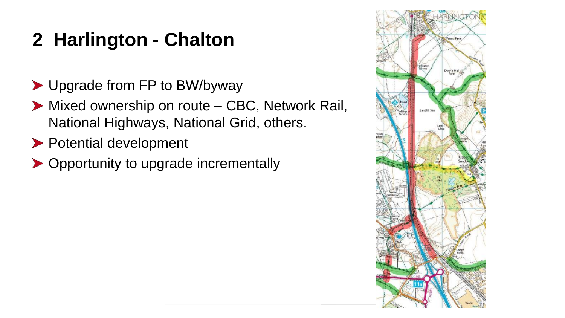## **2 Harlington - Chalton**

- ▶ Upgrade from FP to BW/byway
- ▶ Mixed ownership on route CBC, Network Rail, National Highways, National Grid, others.
- ▶ Potential development
- ▶ Opportunity to upgrade incrementally

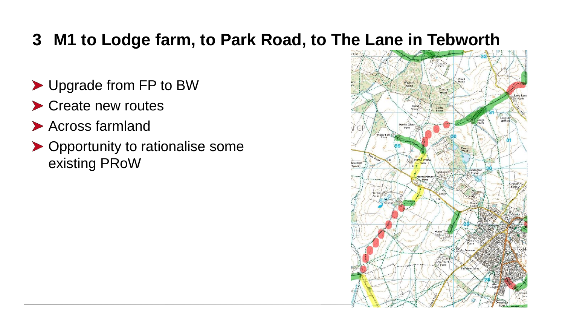#### **3 M1 to Lodge farm, to Park Road, to The Lane in Tebworth**

- ▶ Upgrade from FP to BW
- ▶ Create new routes
- Across farmland
- ▶ Opportunity to rationalise some existing PRoW